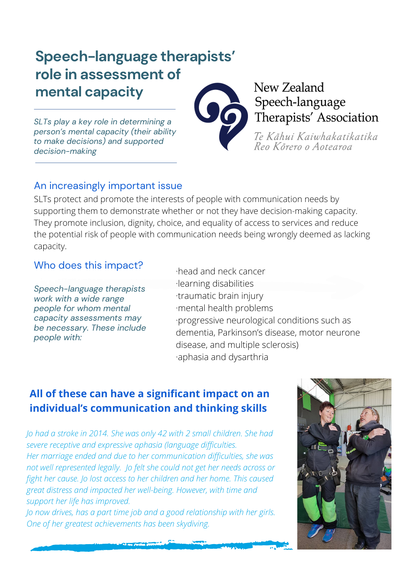# **Speech-language therapists' role in assessment of mental capacity**

*SLTs play a key role in determining a person's mental capacity (their ability to make decisions) and supported decision-making*

## An increasingly important issue

SLTs protect and promote the interests of people with communication needs by supporting them to demonstrate whether or not they have decision-making capacity. They promote inclusion, dignity, choice, and equality of access to services and reduce the potential risk of people with communication needs being wrongly deemed as lacking capacity.

### Who does this impact?

*Speech-language therapists work with a wide range people for whom mental capacity assessments may be necessary. These include people with:*

·head and neck cancer ·learning disabilities ·traumatic brain injury ·mental health problems ·progressive neurological conditions such as dementia, Parkinson's disease, motor neurone disease, and multiple sclerosis) ·aphasia and dysarthria

## **All of these can have a significant impact on an individual's communication and thinking skills**

*Jo had a stroke in 2014. She was only 42 with 2 small children. She had severe receptive and expressive aphasia (language difficulties. Her marriage ended and due to her communication difficulties, she was not well represented legally. Jo felt she could not get her needs across or fight her cause. Jo lost access to her children and her home. This caused great distress and impacted her well-being. However, with time and support her life has improved.*

*Jo now drives, has a part time job and a good relationship with her girls. One of her greatest achievements has been skydiving.*





## New Zealand Speech-language Therapists' Association

Te Kãhui Kaiwhakatikatika Reo Kõrero o Aotearoa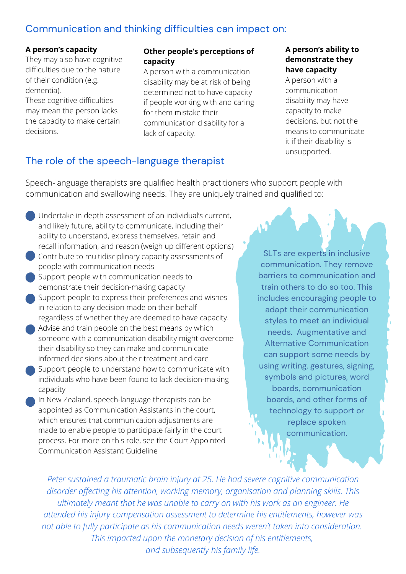### Communication and thinking difficulties can impact on:

#### **A person's capacity**

They may also have cognitive difficulties due to the nature of their condition (e.g. dementia).

These cognitive difficulties may mean the person lacks the capacity to make certain decisions.

#### **Other people's perceptions of capacity**

A person with a communication disability may be at risk of being determined not to have capacity if people working with and caring for them mistake their communication disability for a lack of capacity.

#### **A person's ability to demonstrate they have capacity**

A person with a communication disability may have capacity to make decisions, but not the means to communicate it if their disability is unsupported.

## The role of the speech-language therapist

Speech-language therapists are qualified health practitioners who support people with communication and swallowing needs. They are uniquely trained and qualified to:

- Undertake in depth assessment of an individual's current, and likely future, ability to communicate, including their ability to understand, express themselves, retain and recall information, and reason (weigh up different options)
- Contribute to multidisciplinary capacity assessments of people with communication needs
- Support people with communication needs to demonstrate their decision-making capacity
- Support people to express their preferences and wishes in relation to any decision made on their behalf regardless of whether they are deemed to have capacity.
- Advise and train people on the best means by which someone with a communication disability might overcome their disability so they can make and communicate informed decisions about their treatment and care
- Support people to understand how to communicate with individuals who have been found to lack decision-making capacity
- In New Zealand, speech-language therapists can be appointed as Communication Assistants in the court, which ensures that communication adjustments are made to enable people to participate fairly in the court process. For more on this role, see the Court Appointed [Communication](https://consultations.justice.govt.nz/csi/court-appointed-communication-assistance-qf/) Assistant Guideline

SLTs are experts in inclusive communication. They remove barriers to communication and train others to do so too. This includes encouraging people to adapt their communication styles to meet an individual needs. Augmentative and Alternative Communication can support some needs by using writing, gestures, signing, symbols and pictures, word boards, communication boards, and other forms of technology to support or replace spoken communication.

*Peter sustained a traumatic brain injury at 25. He had severe cognitive communication disorder affecting his attention, working memory, organisation and planning skills. This ultimately meant that he was unable to carry on with his work as an engineer. He attended his injury compensation assessment to determine his entitlements, however was not able to fully participate as his communication needs weren't taken into consideration. This impacted upon the monetary decision of his entitlements, and subsequently his family life.*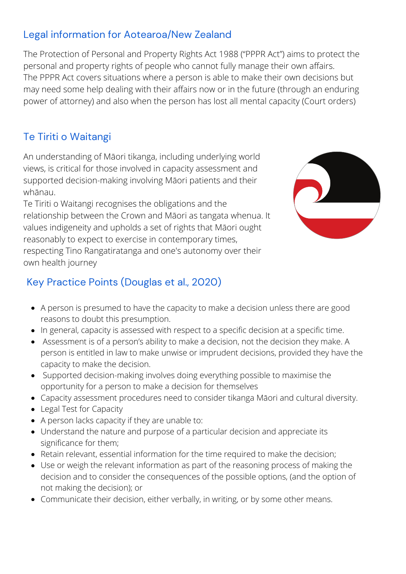## Legal information for Aotearoa/New Zealand

The Protection of Personal and Property Rights Act 1988 ("PPPR Act") aims to protect the personal and property rights of people who cannot fully manage their own affairs. The PPPR Act covers situations where a person is able to make their own decisions but may need some help dealing with their affairs now or in the future (through an enduring power of attorney) and also when the person has lost all mental capacity (Court orders)

## Te Tiriti o Waitangi

An understanding of Māori tikanga, including underlying world views, is critical for those involved in capacity assessment and supported decision-making involving Māori patients and their whānau.

Te Tiriti o Waitangi recognises the obligations and the relationship between the Crown and Māori as tangata whenua. It values indigeneity and upholds a set of rights that Māori ought reasonably to expect to exercise in contemporary times, respecting Tino Rangatiratanga and one's autonomy over their own health journey



## Key Practice Points (Douglas et al., 2020)

- A person is presumed to have the capacity to make a decision unless there are good reasons to doubt this presumption.
- In general, capacity is assessed with respect to a specific decision at a specific time.
- Assessment is of a person's ability to make a decision, not the decision they make. A person is entitled in law to make unwise or imprudent decisions, provided they have the capacity to make the decision.
- Supported decision-making involves doing everything possible to maximise the opportunity for a person to make a decision for themselves
- Capacity assessment procedures need to consider tikanga Māori and cultural diversity.
- Legal Test for Capacity
- A person lacks capacity if they are unable to:
- Understand the nature and purpose of a particular decision and appreciate its significance for them;
- Retain relevant, essential information for the time required to make the decision;
- Use or weigh the relevant information as part of the reasoning process of making the decision and to consider the consequences of the possible options, (and the option of not making the decision); or
- Communicate their decision, either verbally, in writing, or by some other means.